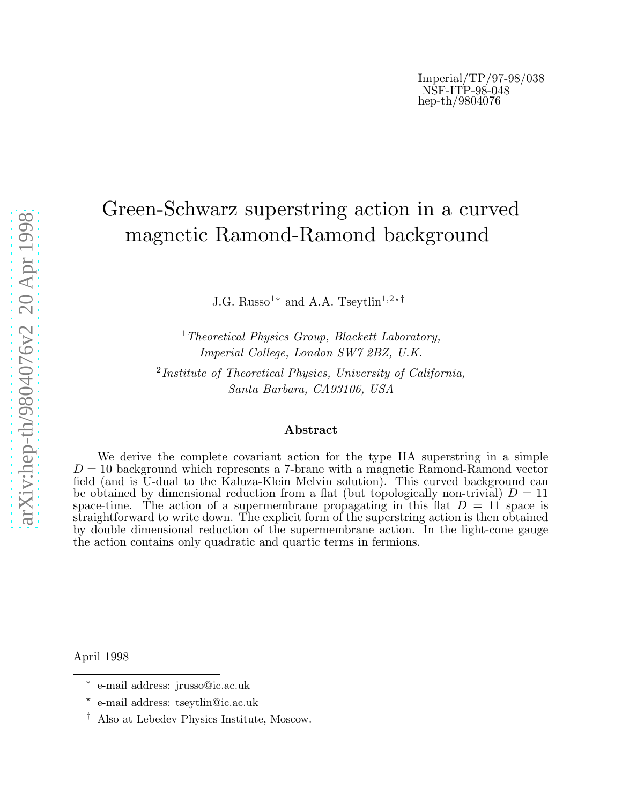## Green-Schwarz superstring action in a curved magnetic Ramond-Ramond background

J.G. Russo<sup>1\*</sup> and A.A. Tseytlin<sup>1,2\*†</sup>

<sup>1</sup> Theoretical Physics Group, Blackett Laboratory, Imperial College, London SW7 2BZ, U.K.

<sup>2</sup>Institute of Theoretical Physics, University of California, Santa Barbara, CA93106, USA

## Abstract

We derive the complete covariant action for the type IIA superstring in a simple  $D = 10$  background which represents a 7-brane with a magnetic Ramond-Ramond vector field (and is U-dual to the Kaluza-Klein Melvin solution). This curved background can be obtained by dimensional reduction from a flat (but topologically non-trivial)  $D = 11$ space-time. The action of a supermembrane propagating in this flat  $D = 11$  space is straightforward to write down. The explicit form of the superstring action is then obtained by double dimensional reduction of the supermembrane action. In the light-cone gauge the action contains only quadratic and quartic terms in fermions.

April 1998

<sup>∗</sup> e-mail address: jrusso@ic.ac.uk

<sup>⋆</sup> e-mail address: tseytlin@ic.ac.uk

<sup>†</sup> Also at Lebedev Physics Institute, Moscow.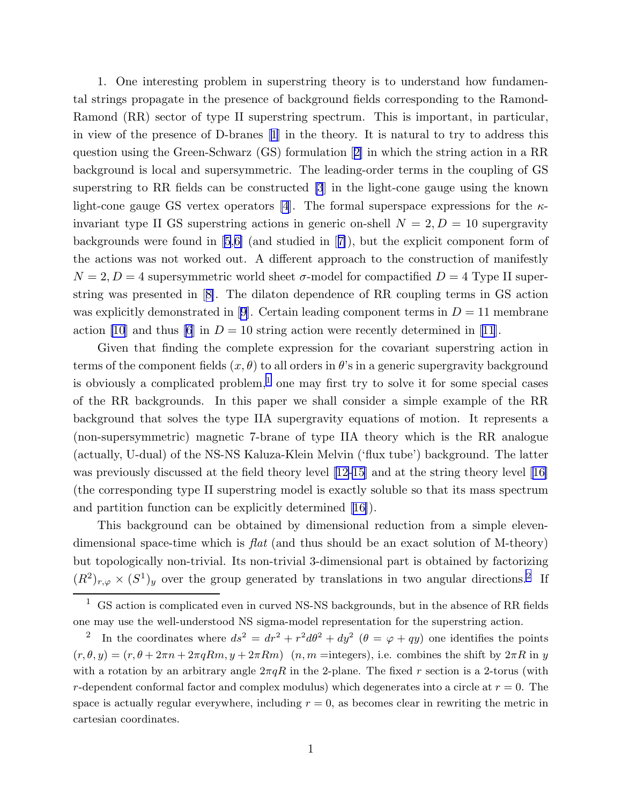1. One interesting problem in superstring theory is to understand how fundamental strings propagate in the presence of background fields corresponding to the Ramond-Ramond (RR) sector of type II superstring spectrum. This is important, in particular, in view of the presence of D-branes[[1](#page-11-0)] in the theory. It is natural to try to address this question using the Green-Schwarz (GS) formulation[[2\]](#page-11-0) in which the string action in a RR background is local and supersymmetric. The leading-order terms in the coupling of GS superstring to RR fields can be constructed [\[3](#page-11-0)] in the light-cone gauge using the known light-cone gauge GS vertex operators [\[4](#page-11-0)]. The formal superspace expressions for the  $\kappa$ invariant type II GS superstring actions in generic on-shell  $N = 2, D = 10$  supergravity backgrounds were found in [\[5](#page-11-0),[6\]](#page-11-0) (and studied in[[7\]](#page-11-0)), but the explicit component form of the actions was not worked out. A different approach to the construction of manifestly  $N = 2, D = 4$  supersymmetric world sheet  $\sigma$ -model for compactified  $D = 4$  Type II superstring was presented in[[8\]](#page-11-0). The dilaton dependence of RR coupling terms in GS action wasexplicitly demonstrated in [[9\]](#page-11-0). Certain leading component terms in  $D = 11$  membrane action [\[10](#page-11-0)] and thus [\[6](#page-11-0)] in  $D = 10$  string action were recently determined in [\[11](#page-11-0)].

Given that finding the complete expression for the covariant superstring action in terms of the component fields  $(x, \theta)$  to all orders in  $\theta$ 's in a generic supergravity background is obviously a complicated problem,<sup>1</sup> one may first try to solve it for some special cases of the RR backgrounds. In this paper we shall consider a simple example of the RR background that solves the type IIA supergravity equations of motion. It represents a (non-supersymmetric) magnetic 7-brane of type IIA theory which is the RR analogue (actually, U-dual) of the NS-NS Kaluza-Klein Melvin ('flux tube') background. The latter was previously discussed at the field theory level [\[12-15](#page-11-0)] and at the string theory level[[16\]](#page-11-0) (the corresponding type II superstring model is exactly soluble so that its mass spectrum and partition function can be explicitly determined[[16\]](#page-11-0)).

This background can be obtained by dimensional reduction from a simple elevendimensional space-time which is  $flat$  (and thus should be an exact solution of M-theory) but topologically non-trivial. Its non-trivial 3-dimensional part is obtained by factorizing  $(R^2)_{r,\varphi} \times (S^1)_y$  over the group generated by translations in two angular directions.<sup>2</sup> If

 $^{\rm 1} \,$  GS action is complicated even in curved NS-NS backgrounds, but in the absence of RR fields one may use the well-understood NS sigma-model representation for the superstring action.

<sup>&</sup>lt;sup>2</sup> In the coordinates where  $ds^2 = dr^2 + r^2 d\theta^2 + dy^2$  ( $\theta = \varphi + qy$ ) one identifies the points  $(r, \theta, y) = (r, \theta + 2\pi n + 2\pi qRm, y + 2\pi Rm)$   $(n, m =$ integers), i.e. combines the shift by  $2\pi R$  in y with a rotation by an arbitrary angle  $2\pi qR$  in the 2-plane. The fixed r section is a 2-torus (with r-dependent conformal factor and complex modulus) which degenerates into a circle at  $r = 0$ . The space is actually regular everywhere, including  $r = 0$ , as becomes clear in rewriting the metric in cartesian coordinates.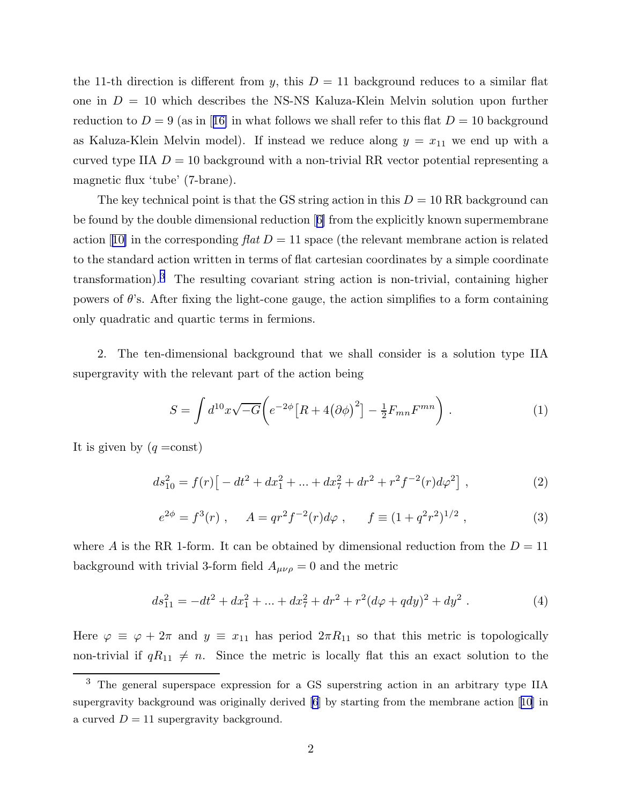<span id="page-2-0"></span>the 11-th direction is different from y, this  $D = 11$  background reduces to a similar flat one in  $D = 10$  which describes the NS-NS Kaluza-Klein Melvin solution upon further reductionto  $D = 9$  (as in [[16\]](#page-11-0) in what follows we shall refer to this flat  $D = 10$  background as Kaluza-Klein Melvin model). If instead we reduce along  $y = x_{11}$  we end up with a curved type IIA  $D = 10$  background with a non-trivial RR vector potential representing a magnetic flux 'tube' (7-brane).

The key technical point is that the GS string action in this  $D = 10 \text{ RR}$  background can be found by the double dimensional reduction[[6\]](#page-11-0) from the explicitly known supermembrane action[[10\]](#page-11-0) in the corresponding  $flat D = 11$  space (the relevant membrane action is related to the standard action written in terms of flat cartesian coordinates by a simple coordinate transformation).<sup>3</sup> The resulting covariant string action is non-trivial, containing higher powers of  $\theta$ 's. After fixing the light-cone gauge, the action simplifies to a form containing only quadratic and quartic terms in fermions.

2. The ten-dimensional background that we shall consider is a solution type IIA supergravity with the relevant part of the action being

$$
S = \int d^{10}x \sqrt{-G} \left( e^{-2\phi} \left[ R + 4(\partial \phi)^2 \right] - \frac{1}{2} F_{mn} F^{mn} \right) . \tag{1}
$$

It is given by  $(q = const)$ 

$$
ds_{10}^{2} = f(r)\left[-dt^{2} + dx_{1}^{2} + \dots + dx_{7}^{2} + dr^{2} + r^{2}f^{-2}(r)d\varphi^{2}\right],
$$
 (2)

$$
e^{2\phi} = f^3(r) , \quad A = qr^2 f^{-2}(r) d\varphi , \quad f \equiv (1 + q^2 r^2)^{1/2} , \tag{3}
$$

where A is the RR 1-form. It can be obtained by dimensional reduction from the  $D = 11$ background with trivial 3-form field  $A_{\mu\nu\rho} = 0$  and the metric

$$
ds_{11}^2 = -dt^2 + dx_1^2 + \dots + dx_7^2 + dr^2 + r^2(d\varphi + qdy)^2 + dy^2.
$$
 (4)

Here  $\varphi \equiv \varphi + 2\pi$  and  $y \equiv x_{11}$  has period  $2\pi R_{11}$  so that this metric is topologically non-trivial if  $qR_{11} \neq n$ . Since the metric is locally flat this an exact solution to the

<sup>3</sup> The general superspace expression for a GS superstring action in an arbitrary type IIA supergravity background was originally derived[[6](#page-11-0)] by starting from the membrane action[[10\]](#page-11-0) in a curved  $D = 11$  supergravity background.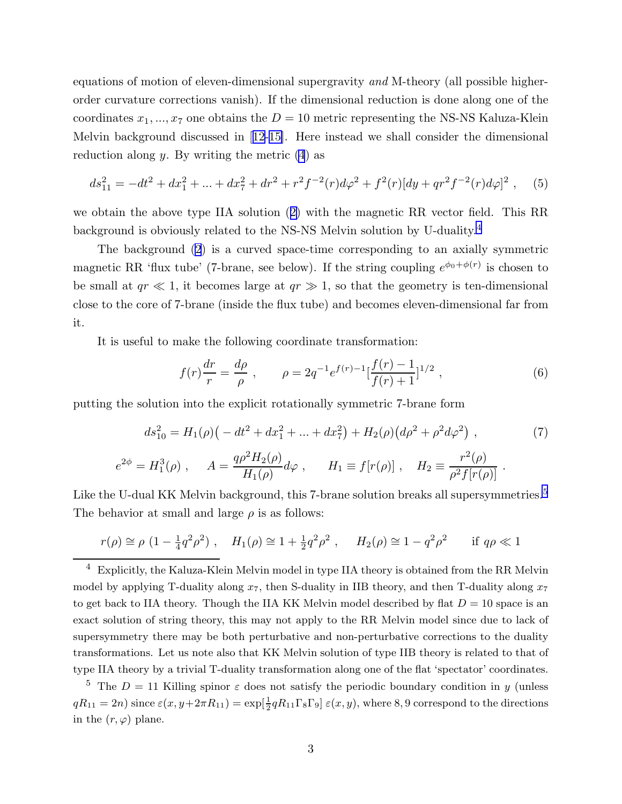equations of motion of eleven-dimensional supergravity and M-theory (all possible higherorder curvature corrections vanish). If the dimensional reduction is done along one of the coordinates  $x_1, ..., x_7$  one obtains the  $D = 10$  metric representing the NS-NS Kaluza-Klein Melvin background discussed in[[12-15\]](#page-11-0). Here instead we shall consider the dimensional reduction along  $y$ . By writing the metric  $(4)$  as

$$
ds_{11}^2 = -dt^2 + dx_1^2 + \dots + dx_7^2 + dr^2 + r^2 f^{-2}(r) d\varphi^2 + f^2(r) [dy + qr^2 f^{-2}(r) d\varphi]^2 , \quad (5)
$$

we obtain the above type IIA solution([2\)](#page-2-0) with the magnetic RR vector field. This RR background is obviously related to the NS-NS Melvin solution by U-duality.<sup>4</sup>

The background [\(2](#page-2-0)) is a curved space-time corresponding to an axially symmetric magnetic RR 'flux tube' (7-brane, see below). If the string coupling  $e^{\phi_0 + \phi(r)}$  is chosen to be small at  $qr \ll 1$ , it becomes large at  $qr \gg 1$ , so that the geometry is ten-dimensional close to the core of 7-brane (inside the flux tube) and becomes eleven-dimensional far from it.

It is useful to make the following coordinate transformation:

$$
f(r)\frac{dr}{r} = \frac{d\rho}{\rho} , \qquad \rho = 2q^{-1}e^{f(r)-1}[\frac{f(r)-1}{f(r)+1}]^{1/2} , \qquad (6)
$$

putting the solution into the explicit rotationally symmetric 7-brane form

$$
ds_{10}^{2} = H_{1}(\rho) \left( -dt^{2} + dx_{1}^{2} + \ldots + dx_{7}^{2} \right) + H_{2}(\rho) \left( d\rho^{2} + \rho^{2} d\varphi^{2} \right) , \tag{7}
$$

$$
e^{2\phi} = H_1^3(\rho)
$$
,  $A = \frac{q\rho^2 H_2(\rho)}{H_1(\rho)} d\varphi$ ,  $H_1 \equiv f[r(\rho)]$ ,  $H_2 \equiv \frac{r^2(\rho)}{\rho^2 f[r(\rho)]}$ .

Like the U-dual KK Melvin background, this 7-brane solution breaks all supersymmetries.<sup>5</sup> The behavior at small and large  $\rho$  is as follows:

$$
r(\rho) \approx \rho (1 - \frac{1}{4} q^2 \rho^2)
$$
,  $H_1(\rho) \approx 1 + \frac{1}{2} q^2 \rho^2$ ,  $H_2(\rho) \approx 1 - q^2 \rho^2$  if  $q\rho \ll 1$ 

<sup>5</sup> The  $D = 11$  Killing spinor  $\varepsilon$  does not satisfy the periodic boundary condition in y (unless  $qR_{11} = 2n$ ) since  $\varepsilon(x, y + 2\pi R_{11}) = \exp[\frac{1}{2}qR_{11}\Gamma_8\Gamma_9] \varepsilon(x, y)$ , where 8, 9 correspond to the directions in the  $(r, \varphi)$  plane.

 $4$  Explicitly, the Kaluza-Klein Melvin model in type IIA theory is obtained from the RR Melvin model by applying T-duality along  $x_7$ , then S-duality in IIB theory, and then T-duality along  $x_7$ to get back to IIA theory. Though the IIA KK Melvin model described by flat  $D = 10$  space is an exact solution of string theory, this may not apply to the RR Melvin model since due to lack of supersymmetry there may be both perturbative and non-perturbative corrections to the duality transformations. Let us note also that KK Melvin solution of type IIB theory is related to that of type IIA theory by a trivial T-duality transformation along one of the flat 'spectator' coordinates.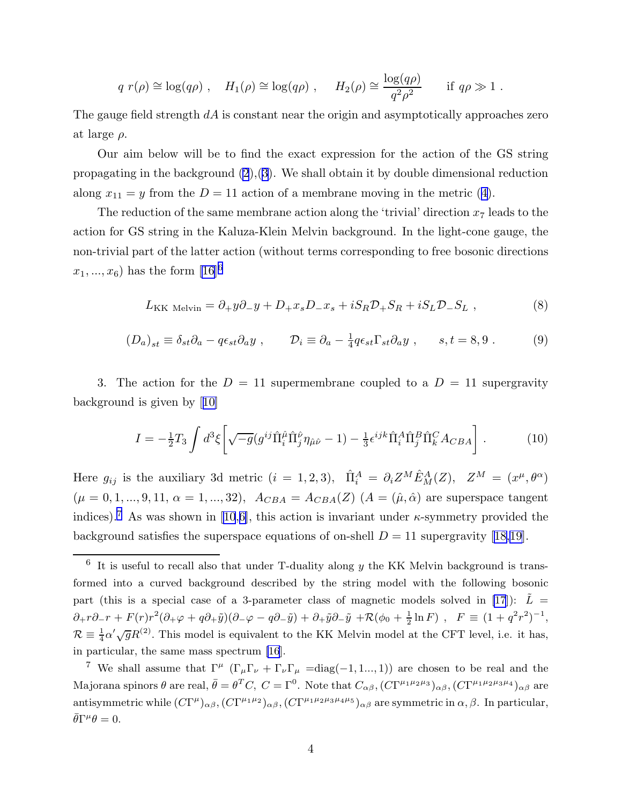$$
q r(\rho) \approx \log(q\rho)
$$
,  $H_1(\rho) \approx \log(q\rho)$ ,  $H_2(\rho) \approx \frac{\log(q\rho)}{q^2\rho^2}$  if  $q\rho \gg 1$ .

<span id="page-4-0"></span>The gauge field strength  $dA$  is constant near the origin and asymptotically approaches zero at large  $\rho$ .

Our aim below will be to find the exact expression for the action of the GS string propagating in the background  $(2),(3)$  $(2),(3)$  $(2),(3)$ . We shall obtain it by double dimensional reduction along $x_{11} = y$  from the  $D = 11$  action of a membrane moving in the metric ([4\)](#page-2-0).

The reduction of the same membrane action along the 'trivial' direction  $x_7$  leads to the action for GS string in the Kaluza-Klein Melvin background. In the light-cone gauge, the non-trivial part of the latter action (without terms corresponding to free bosonic directions  $x_1, ..., x_6$  has the form [\[16](#page-11-0)]<sup>6</sup>

$$
L_{\rm KK\; Melvin} = \partial_+ y \partial_- y + D_+ x_s D_- x_s + i S_R \mathcal{D}_+ S_R + i S_L \mathcal{D}_- S_L \,,\tag{8}
$$

$$
(D_a)_{st} \equiv \delta_{st}\partial_a - q\epsilon_{st}\partial_a y , \qquad D_i \equiv \partial_a - \frac{1}{4}q\epsilon_{st}\Gamma_{st}\partial_a y , \qquad s, t = 8, 9 . \tag{9}
$$

3. The action for the  $D = 11$  supermembrane coupled to a  $D = 11$  supergravity background is given by[[10\]](#page-11-0)

$$
I = -\frac{1}{2}T_3 \int d^3\xi \left[ \sqrt{-g} (g^{ij}\hat{\Pi}_i^{\hat{\mu}}\hat{\Pi}_j^{\hat{\nu}} \eta_{\hat{\mu}\hat{\nu}} - 1) - \frac{1}{3} \epsilon^{ijk}\hat{\Pi}_i^A \hat{\Pi}_j^B \hat{\Pi}_k^C A_{CBA} \right].
$$
 (10)

Here  $g_{ij}$  is the auxiliary 3d metric  $(i = 1, 2, 3)$ ,  $\hat{\Pi}_i^A = \partial_i Z^M \hat{E}_M^A(Z)$ ,  $Z^M = (x^{\mu}, \theta^{\alpha})$  $(\mu = 0, 1, ..., 9, 11, \alpha = 1, ..., 32),$   $A_{CBA} = A_{CBA}(Z)$   $(A = (\hat{\mu}, \hat{\alpha})$  are superspace tangent indices).<sup>7</sup> As was shown in [\[10](#page-11-0),[6\]](#page-11-0), this action is invariant under  $\kappa$ -symmetry provided the backgroundsatisfies the superspace equations of on-shell  $D = 11$  supergravity [[18,19](#page-11-0)].

 $6\,$  It is useful to recall also that under T-duality along y the KK Melvin background is transformed into a curved background described by the string model with the following bosonic part (this is a special case of a 3-parameter class of magnetic models solved in [\[17](#page-11-0)]):  $\tilde{L} =$  $\partial_+ r \partial_- r + F(r) r^2 (\partial_+ \varphi + q \partial_+ \tilde{y}) (\partial_- \varphi - q \partial_- \tilde{y}) + \partial_+ \tilde{y} \partial_- \tilde{y} + \mathcal{R}(\phi_0 + \frac{1}{2})$  $\frac{1}{2}\ln F$ ,  $F \equiv (1+q^2r^2)^{-1}$ ,  $\mathcal{R} \equiv \frac{1}{4}\alpha'\sqrt{g}R^{(2)}$ . This model is equivalent to the KK Melvin model at the CFT level, i.e. it has, in particular, the same mass spectrum [\[16](#page-11-0)].

<sup>&</sup>lt;sup>7</sup> We shall assume that  $\Gamma^{\mu}$  ( $\Gamma_{\mu}\Gamma_{\nu} + \Gamma_{\nu}\Gamma_{\mu} = \text{diag}(-1, 1... , 1)$ ) are chosen to be real and the Majorana spinors  $\theta$  are real,  $\bar{\theta} = \theta^T C$ ,  $C = \Gamma^0$ . Note that  $C_{\alpha\beta}$ ,  $(C\Gamma^{\mu_1\mu_2\mu_3})_{\alpha\beta}$ ,  $(C\Gamma^{\mu_1\mu_2\mu_3\mu_4})_{\alpha\beta}$  are antisymmetric while  $(C\Gamma^{\mu})_{\alpha\beta}$ ,  $(C\Gamma^{\mu_1\mu_2})_{\alpha\beta}$ ,  $(C\Gamma^{\mu_1\mu_2\mu_3\mu_4\mu_5})_{\alpha\beta}$  are symmetric in  $\alpha, \beta$ . In particular,  $\bar{\theta}\Gamma^{\mu}\theta=0.$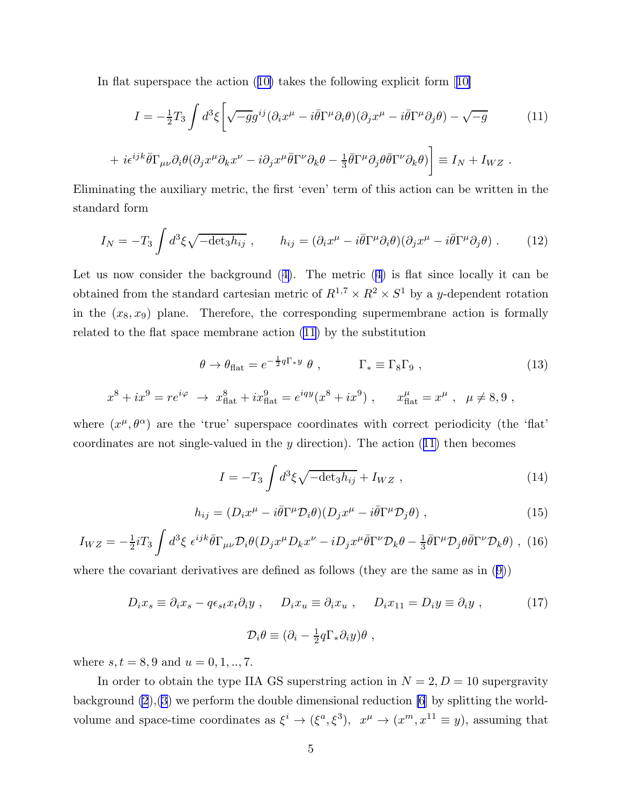<span id="page-5-0"></span>In flat superspace the action([10\)](#page-4-0) takes the following explicit form[[10\]](#page-11-0)

$$
I = -\frac{1}{2}T_3 \int d^3\xi \left[ \sqrt{-g}g^{ij} (\partial_i x^\mu - i\bar{\theta}\Gamma^\mu \partial_i \theta)(\partial_j x^\mu - i\bar{\theta}\Gamma^\mu \partial_j \theta) - \sqrt{-g} \right]
$$
 (11)

+ 
$$
i\epsilon^{ijk}\bar{\theta}\Gamma_{\mu\nu}\partial_i\theta(\partial_jx^\mu\partial_kx^\nu - i\partial_jx^\mu\bar{\theta}\Gamma^\nu\partial_k\theta - \frac{1}{3}\bar{\theta}\Gamma^\mu\partial_j\theta\bar{\theta}\Gamma^\nu\partial_k\theta)\bigg] \equiv I_N + I_{WZ}
$$
.

Eliminating the auxiliary metric, the first 'even' term of this action can be written in the standard form

$$
I_N = -T_3 \int d^3\xi \sqrt{-\det_3 h_{ij}} \ , \qquad h_{ij} = (\partial_i x^\mu - i \bar{\theta} \Gamma^\mu \partial_i \theta)(\partial_j x^\mu - i \bar{\theta} \Gamma^\mu \partial_j \theta) \ . \tag{12}
$$

Let us now consider the background([4\)](#page-2-0). The metric([4\)](#page-2-0) is flat since locally it can be obtained from the standard cartesian metric of  $R^{1,7} \times R^2 \times S^1$  by a y-dependent rotation in the  $(x_8, x_9)$  plane. Therefore, the corresponding supermembrane action is formally related to the flat space membrane action (11) by the substitution

$$
\theta \to \theta_{\text{flat}} = e^{-\frac{1}{2}q\Gamma_* y} \theta , \qquad \Gamma_* \equiv \Gamma_8 \Gamma_9 , \qquad (13)
$$

$$
x^8 + ix^9 = re^{i\varphi} \rightarrow x^8_{\text{flat}} + ix^9_{\text{flat}} = e^{iqy}(x^8 + ix^9) , \quad x^{\mu}_{\text{flat}} = x^{\mu} , \mu \neq 8, 9 ,
$$

where  $(x^{\mu}, \theta^{\alpha})$  are the 'true' superspace coordinates with correct periodicity (the 'flat' coordinates are not single-valued in the  $y$  direction). The action  $(11)$  then becomes

$$
I = -T_3 \int d^3 \xi \sqrt{-\det_3 h_{ij}} + I_{WZ} , \qquad (14)
$$

$$
h_{ij} = (D_i x^{\mu} - i \bar{\theta} \Gamma^{\mu} \mathcal{D}_i \theta)(D_j x^{\mu} - i \bar{\theta} \Gamma^{\mu} \mathcal{D}_j \theta) , \qquad (15)
$$

$$
I_{WZ} = -\frac{1}{2}i T_3 \int d^3 \xi \ \epsilon^{ijk} \bar{\theta} \Gamma_{\mu\nu} \mathcal{D}_i \theta (D_j x^\mu D_k x^\nu - i D_j x^\mu \bar{\theta} \Gamma^\nu \mathcal{D}_k \theta - \frac{1}{3} \bar{\theta} \Gamma^\mu \mathcal{D}_j \theta \bar{\theta} \Gamma^\nu \mathcal{D}_k \theta) , \tag{16}
$$

where the covariant derivatives are defined as follows (they are the same as in([9\)](#page-4-0))

$$
D_i x_s \equiv \partial_i x_s - q \epsilon_{st} x_t \partial_i y , \qquad D_i x_u \equiv \partial_i x_u , \qquad D_i x_{11} = D_i y \equiv \partial_i y , \qquad (17)
$$

$$
\mathcal{D}_i \theta \equiv (\partial_i - \frac{1}{2} q \Gamma_* \partial_i y) \theta ,
$$

where  $s, t = 8, 9$  and  $u = 0, 1, ..., 7$ .

In order to obtain the type IIA GS superstring action in  $N = 2, D = 10$  supergravity background  $(2),(3)$  $(2),(3)$  $(2),(3)$  we perform the double dimensional reduction [\[6](#page-11-0)] by splitting the worldvolume and space-time coordinates as  $\xi^i \to (\xi^a, \xi^3)$ ,  $x^\mu \to (x^m, x^{11} \equiv y)$ , assuming that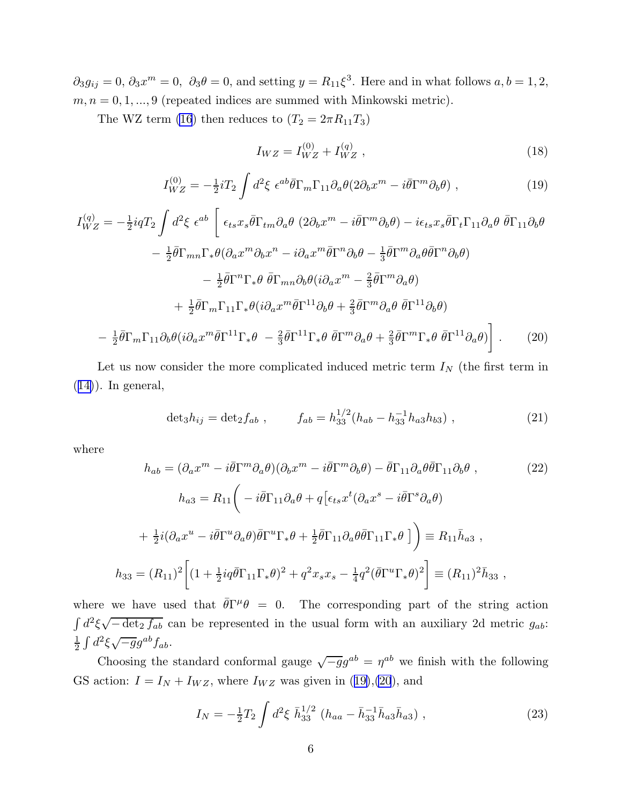<span id="page-6-0"></span> $\partial_3 g_{ij} = 0, \, \partial_3 x^m = 0, \, \partial_3 \theta = 0, \text{ and setting } y = R_{11} \xi^3.$  Here and in what follows  $a, b = 1, 2,$  $m, n = 0, 1, \ldots, 9$  (repeated indices are summed with Minkowski metric).

The WZ term [\(16](#page-5-0)) then reduces to  $(T_2 = 2\pi R_{11}T_3)$ 

$$
I_{WZ} = I_{WZ}^{(0)} + I_{WZ}^{(q)} \t{,} \t(18)
$$

$$
I_{WZ}^{(0)} = -\frac{1}{2}iT_2 \int d^2\xi \ \epsilon^{ab}\bar{\theta}\Gamma_m\Gamma_{11}\partial_a\theta(2\partial_b x^m - i\bar{\theta}\Gamma^m\partial_b\theta) \ , \tag{19}
$$

$$
I_{WZ}^{(q)} = -\frac{1}{2}iqT_2 \int d^2\xi \ \epsilon^{ab} \left[ \ \epsilon_{ts}x_s\bar{\theta}\Gamma_{tm}\partial_a\theta \ (2\partial_b x^m - i\bar{\theta}\Gamma^m\partial_b\theta) - i\epsilon_{ts}x_s\bar{\theta}\Gamma_t\Gamma_{11}\partial_a\theta \ \bar{\theta}\Gamma_{11}\partial_b\theta \right. \\ - \frac{1}{2}\bar{\theta}\Gamma_{mn}\Gamma_*\theta(\partial_a x^m\partial_b x^n - i\partial_a x^m\bar{\theta}\Gamma^n\partial_b\theta - \frac{1}{3}\bar{\theta}\Gamma^m\partial_a\theta\bar{\theta}\Gamma^n\partial_b\theta) \\ - \frac{1}{2}\bar{\theta}\Gamma^n\Gamma_*\theta \ \bar{\theta}\Gamma_{mn}\partial_b\theta(i\partial_a x^m - \frac{2}{3}\bar{\theta}\Gamma^m\partial_a\theta) \\ + \frac{1}{2}\bar{\theta}\Gamma_m\Gamma_{11}\Gamma_*\theta(i\partial_a x^m\bar{\theta}\Gamma^{11}\partial_b\theta + \frac{2}{3}\bar{\theta}\Gamma^m\partial_a\theta \ \bar{\theta}\Gamma^{11}\partial_b\theta) \\ - \frac{1}{2}\bar{\theta}\Gamma_m\Gamma_{11}\partial_b\theta(i\partial_a x^m\bar{\theta}\Gamma^{11}\Gamma_*\theta - \frac{2}{3}\bar{\theta}\Gamma^{11}\Gamma_*\theta \ \bar{\theta}\Gamma^m\partial_a\theta + \frac{2}{3}\bar{\theta}\Gamma^m\Gamma_*\theta \ \bar{\theta}\Gamma^{11}\partial_a\theta) \right]. \tag{20}
$$

Let us now consider the more complicated induced metric term  $I<sub>N</sub>$  (the first term in  $(14)$  $(14)$ ). In general,

$$
\det_3 h_{ij} = \det_2 f_{ab} , \qquad f_{ab} = h_{33}^{1/2} (h_{ab} - h_{33}^{-1} h_{a3} h_{b3}) , \qquad (21)
$$

where

$$
h_{ab} = (\partial_a x^m - i\bar{\theta}\Gamma^m \partial_a \theta)(\partial_b x^m - i\bar{\theta}\Gamma^m \partial_b \theta) - \bar{\theta}\Gamma_{11}\partial_a \theta \bar{\theta}\Gamma_{11}\partial_b \theta ,
$$
\n
$$
h_{a3} = R_{11} \left( -i\bar{\theta}\Gamma_{11}\partial_a \theta + q\left[\epsilon_{ts}x^t(\partial_a x^s - i\bar{\theta}\Gamma^s \partial_a \theta\right) \right.
$$
\n
$$
+ \frac{1}{2}i(\partial_a x^u - i\bar{\theta}\Gamma^u \partial_a \theta)\bar{\theta}\Gamma^u \Gamma_* \theta + \frac{1}{2}\bar{\theta}\Gamma_{11}\partial_a \theta \bar{\theta}\Gamma_{11}\Gamma_* \theta \right] = R_{11}\bar{h}_{a3} ,
$$
\n
$$
h_{33} = (R_{11})^2 \left[ (1 + \frac{1}{2}iq\bar{\theta}\Gamma_{11}\Gamma_* \theta)^2 + q^2 x_s x_s - \frac{1}{4}q^2(\bar{\theta}\Gamma^u \Gamma_* \theta)^2 \right] \equiv (R_{11})^2 \bar{h}_{33} ,
$$
\n
$$
(22)
$$

where we have used that  $\bar{\theta}\Gamma^{\mu}\theta = 0$ . The corresponding part of the string action  $\int d^2 \xi \sqrt{-\det_2 f_{ab}}$  can be represented in the usual form with an auxiliary 2d metric  $g_{ab}$ : 1  $rac{1}{2} \int d^2 \xi \sqrt{-g} g^{ab} f_{ab}.$ 

Choosing the standard conformal gauge  $\sqrt{-g}g^{ab} = \eta^{ab}$  we finish with the following GS action:  $I = I_N + I_{WZ}$ , where  $I_{WZ}$  was given in (19),(20), and

$$
I_N = -\frac{1}{2}T_2 \int d^2\xi \ \bar{h}_{33}^{1/2} \left( h_{aa} - \bar{h}_{33}^{-1} \bar{h}_{a3} \bar{h}_{a3} \right) \,, \tag{23}
$$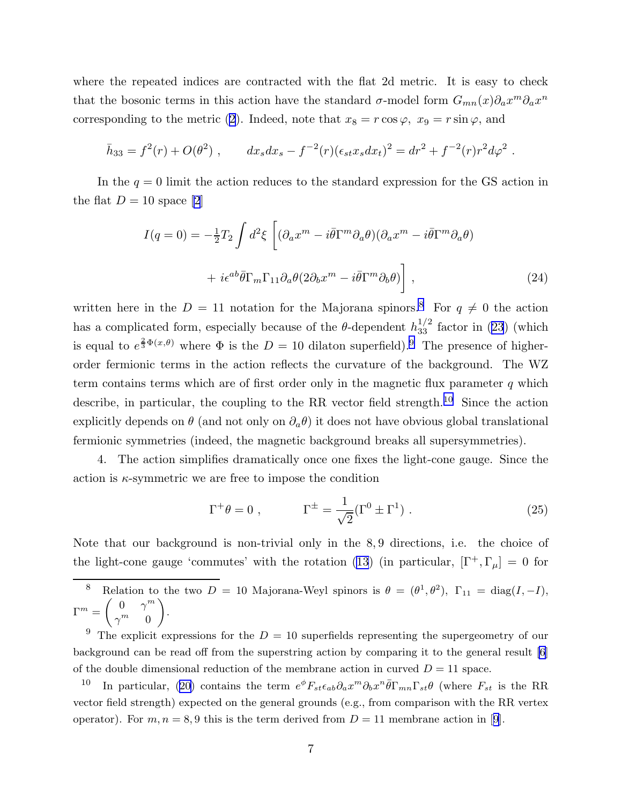<span id="page-7-0"></span>where the repeated indices are contracted with the flat 2d metric. It is easy to check that the bosonic terms in this action have the standard  $\sigma$ -model form  $G_{mn}(x)\partial_a x^m \partial_a x^n$ correspondingto the metric ([2\)](#page-2-0). Indeed, note that  $x_8 = r \cos \varphi$ ,  $x_9 = r \sin \varphi$ , and

$$
\bar{h}_{33} = f^2(r) + O(\theta^2) , \qquad dx_s dx_s - f^{-2}(r) (\epsilon_{st} x_s dx_t)^2 = dr^2 + f^{-2}(r) r^2 d\varphi^2 .
$$

In the  $q = 0$  limit the action reduces to the standard expression for the GS action in the flat  $D = 10$  space [\[2](#page-11-0)]

$$
I(q=0) = -\frac{1}{2}T_2 \int d^2\xi \left[ (\partial_a x^m - i\bar{\theta}\Gamma^m \partial_a \theta)(\partial_a x^m - i\bar{\theta}\Gamma^m \partial_a \theta) + i\epsilon^{ab}\bar{\theta}\Gamma_m \Gamma_{11} \partial_a \theta (2\partial_b x^m - i\bar{\theta}\Gamma^m \partial_b \theta) \right],
$$
\n(24)

written here in the  $D = 11$  notation for the Majorana spinors.<sup>8</sup> For  $q \neq 0$  the action has a complicated form, especially because of the  $\theta$ -dependent  $h_{33}^{1/2}$  factor in [\(23](#page-6-0)) (which is equal to  $e^{\frac{2}{3}\Phi(x,\theta)}$  where  $\Phi$  is the  $D = 10$  dilaton superfield). The presence of higherorder fermionic terms in the action reflects the curvature of the background. The WZ term contains terms which are of first order only in the magnetic flux parameter  $q$  which describe, in particular, the coupling to the RR vector field strength.<sup>10</sup> Since the action explicitly depends on  $\theta$  (and not only on  $\partial_a \theta$ ) it does not have obvious global translational fermionic symmetries (indeed, the magnetic background breaks all supersymmetries).

4. The action simplifies dramatically once one fixes the light-cone gauge. Since the action is  $\kappa$ -symmetric we are free to impose the condition

$$
\Gamma^+ \theta = 0 , \qquad \Gamma^{\pm} = \frac{1}{\sqrt{2}} (\Gamma^0 \pm \Gamma^1) . \qquad (25)
$$

Note that our background is non-trivial only in the 8, 9 directions, i.e. the choice of the light-cone gauge 'commutes' with the rotation [\(13](#page-5-0)) (in particular,  $[\Gamma^+,\Gamma_\mu]=0$  for

<sup>8</sup> Relation to the two  $D = 10$  Majorana-Weyl spinors is  $\theta = (\theta^1, \theta^2)$ ,  $\Gamma_{11} = \text{diag}(I, -I)$ ,  $\left(\begin{array}{cc} 0 & \omega^m \end{array}\right)$  $\Gamma^m = \begin{pmatrix} 0 & \gamma \\ m & \gamma \end{pmatrix}$  $\gamma^m=0$ .

<sup>9</sup> The explicit expressions for the  $D = 10$  superfields representing the supergeometry of our background can be read off from the superstring action by comparing it to the general result [\[6\]](#page-11-0) of the double dimensional reduction of the membrane action in curved  $D = 11$  space.

<sup>10</sup>In particular, ([20\)](#page-6-0) contains the term  $e^{\phi}F_{st}\epsilon_{ab}\partial_{a}x^{m}\partial_{b}x^{n}\bar{\theta}\Gamma_{mn}\Gamma_{st}\theta$  (where  $F_{st}$  is the RR vector field strength) expected on the general grounds (e.g., from comparison with the RR vertex operator).For  $m, n = 8, 9$  $m, n = 8, 9$  this is the term derived from  $D = 11$  membrane action in [9].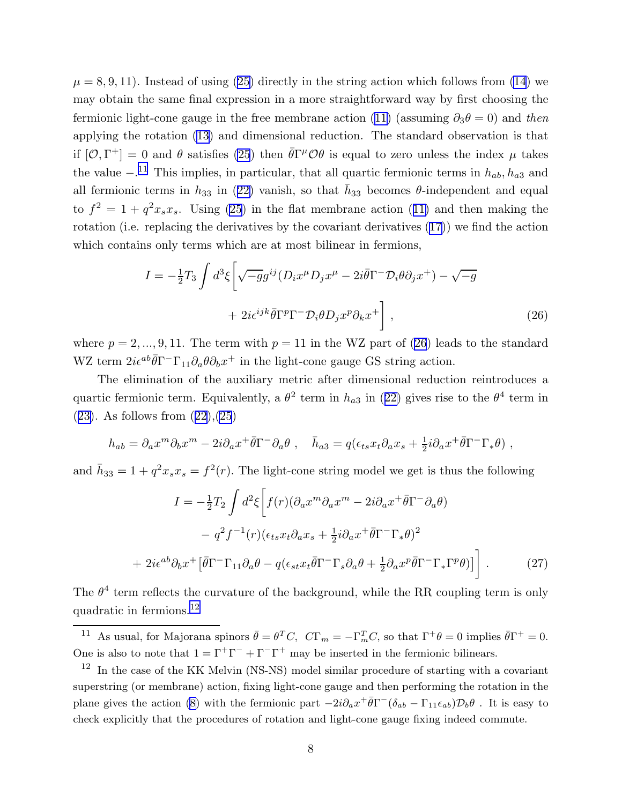<span id="page-8-0"></span> $\mu = 8, 9, 11$  $\mu = 8, 9, 11$  $\mu = 8, 9, 11$ . Instead of using ([25\)](#page-7-0) directly in the string action which follows from [\(14](#page-5-0)) we may obtain the same final expression in a more straightforward way by first choosing the fermioniclight-cone gauge in the free membrane action ([11](#page-5-0)) (assuming  $\partial_3\theta = 0$ ) and then applying the rotation([13\)](#page-5-0) and dimensional reduction. The standard observation is that if  $[O,\Gamma^+] = 0$  and  $\theta$  satisfies [\(25](#page-7-0)) then  $\bar{\theta}\Gamma^{\mu}O\theta$  is equal to zero unless the index  $\mu$  takes the value  $-$ .<sup>11</sup> This implies, in particular, that all quartic fermionic terms in  $h_{ab}$ ,  $h_{a3}$  and allfermionic terms in  $h_{33}$  in ([22\)](#page-6-0) vanish, so that  $\bar{h}_{33}$  becomes  $\theta$ -independent and equal to $f^2 = 1 + q^2 x_s x_s$ . Using [\(25](#page-7-0)) in the flat membrane action ([11\)](#page-5-0) and then making the rotation (i.e. replacing the derivatives by the covariant derivatives([17\)](#page-5-0)) we find the action which contains only terms which are at most bilinear in fermions,

$$
I = -\frac{1}{2}T_3 \int d^3\xi \left[ \sqrt{-g}g^{ij} (D_i x^\mu D_j x^\mu - 2i\bar{\theta}\Gamma^- \mathcal{D}_i \theta \partial_j x^+) - \sqrt{-g} \right. \\
\left. + 2i\epsilon^{ijk} \bar{\theta}\Gamma^p \Gamma^- \mathcal{D}_i \theta D_j x^p \partial_k x^+ \right],
$$
\n(26)

where  $p = 2, ..., 9, 11$ . The term with  $p = 11$  in the WZ part of (26) leads to the standard WZ term  $2i\epsilon^{ab}\bar{\theta}\Gamma^-\Gamma_{11}\partial_a\theta\partial_bx^+$  in the light-cone gauge GS string action.

The elimination of the auxiliary metric after dimensional reduction reintroduces a quarticfermionic term. Equivalently, a  $\theta^2$  term in  $h_{a3}$  in ([22\)](#page-6-0) gives rise to the  $\theta^4$  term in  $(23)$  $(23)$ .As follows from  $(22),(25)$  $(22),(25)$  $(22),(25)$  $(22),(25)$  $(22),(25)$ 

$$
h_{ab} = \partial_a x^m \partial_b x^m - 2i \partial_a x^+ \bar{\theta} \Gamma^- \partial_a \theta \ , \quad \bar{h}_{a3} = q(\epsilon_{ts} x_t \partial_a x_s + \frac{1}{2} i \partial_a x^+ \bar{\theta} \Gamma^- \Gamma_* \theta ) \ ,
$$

and  $\bar{h}_{33} = 1 + q^2 x_s x_s = f^2(r)$ . The light-cone string model we get is thus the following

$$
I = -\frac{1}{2}T_2 \int d^2\xi \left[ f(r)(\partial_a x^m \partial_a x^m - 2i\partial_a x^+ \bar{\theta} \Gamma^- \partial_a \theta) \right.- q^2 f^{-1}(r)(\epsilon_{ts} x_t \partial_a x_s + \frac{1}{2} i\partial_a x^+ \bar{\theta} \Gamma^- \Gamma_* \theta)^2+ 2i\epsilon^{ab} \partial_b x^+ \left[ \bar{\theta} \Gamma^- \Gamma_{11} \partial_a \theta - q(\epsilon_{st} x_t \bar{\theta} \Gamma^- \Gamma_s \partial_a \theta + \frac{1}{2} \partial_a x^p \bar{\theta} \Gamma^- \Gamma_* \Gamma^p \theta) \right] . \tag{27}
$$

The  $\theta^4$  term reflects the curvature of the background, while the RR coupling term is only quadratic in fermions.<sup>12</sup>

<sup>11</sup> As usual, for Majorana spinors  $\bar{\theta} = \theta^T C$ ,  $C\Gamma_m = -\Gamma_m^T C$ , so that  $\Gamma^+ \theta = 0$  implies  $\bar{\theta} \Gamma^+ = 0$ . One is also to note that  $1 = \Gamma^+ \Gamma^- + \Gamma^- \Gamma^+$  may be inserted in the fermionic bilinears.

 $12$  In the case of the KK Melvin (NS-NS) model similar procedure of starting with a covariant superstring (or membrane) action, fixing light-cone gauge and then performing the rotation in the plane gives the action [\(8\)](#page-4-0) with the fermionic part  $-2i\partial_a x^+ \bar{\theta} \Gamma^-(\delta_{ab} - \Gamma_{11} \epsilon_{ab}) \mathcal{D}_b \theta$ . It is easy to check explicitly that the procedures of rotation and light-cone gauge fixing indeed commute.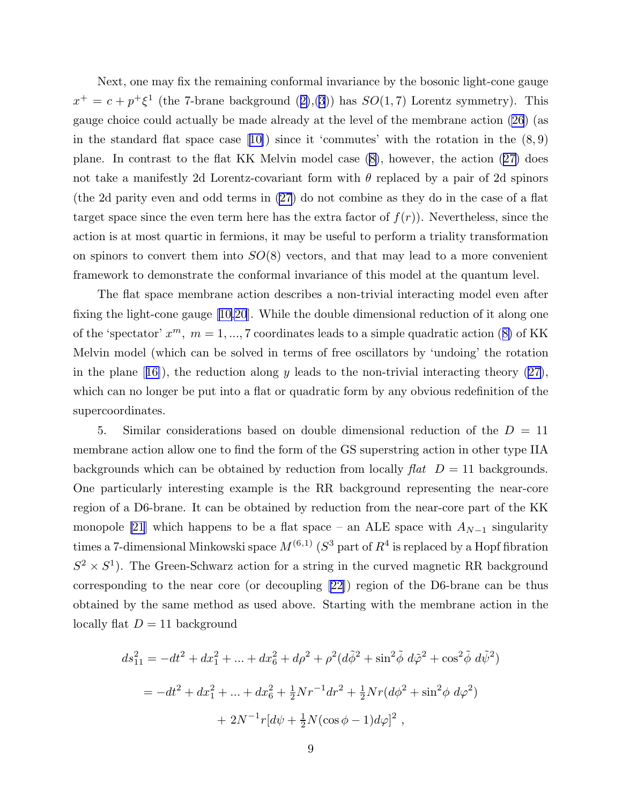Next, one may fix the remaining conformal invariance by the bosonic light-cone gauge  $x^+ = c + p^+ \xi^1$  $x^+ = c + p^+ \xi^1$  $x^+ = c + p^+ \xi^1$  (the 7-brane background ([2\)](#page-2-0),[\(3](#page-2-0))) has  $SO(1,7)$  Lorentz symmetry). This gauge choice could actually be made already at the level of the membrane action [\(26](#page-8-0)) (as inthe standard flat space case  $[10]$  $[10]$ ) since it 'commutes' with the rotation in the  $(8, 9)$ plane. In contrast to the flat KK Melvin model case([8\)](#page-4-0), however, the action([27\)](#page-8-0) does not take a manifestly 2d Lorentz-covariant form with  $\theta$  replaced by a pair of 2d spinors (the 2d parity even and odd terms in [\(27](#page-8-0)) do not combine as they do in the case of a flat target space since the even term here has the extra factor of  $f(r)$ ). Nevertheless, since the action is at most quartic in fermions, it may be useful to perform a triality transformation on spinors to convert them into  $SO(8)$  vectors, and that may lead to a more convenient framework to demonstrate the conformal invariance of this model at the quantum level.

The flat space membrane action describes a non-trivial interacting model even after fixing the light-cone gauge[[10](#page-11-0)[,20](#page-12-0)]. While the double dimensional reduction of it along one ofthe 'spectator'  $x^m$ ,  $m = 1, ..., 7$  coordinates leads to a simple quadratic action ([8\)](#page-4-0) of KK Melvin model (which can be solved in terms of free oscillators by 'undoing' the rotation inthe plane  $(16)$ , the reduction along y leads to the non-trivial interacting theory  $(27)$ , which can no longer be put into a flat or quadratic form by any obvious redefinition of the supercoordinates.

5. Similar considerations based on double dimensional reduction of the  $D = 11$ membrane action allow one to find the form of the GS superstring action in other type IIA backgrounds which can be obtained by reduction from locally  $\text{flat} \quad D = 11$  backgrounds. One particularly interesting example is the RR background representing the near-core region of a D6-brane. It can be obtained by reduction from the near-core part of the KK monopole [\[21](#page-12-0)] which happens to be a flat space – an ALE space with  $A_{N-1}$  singularity times a 7-dimensional Minkowski space  $M^{(6,1)}$  ( $S^3$  part of  $R^4$  is replaced by a Hopf fibration  $S^2 \times S^1$ ). The Green-Schwarz action for a string in the curved magnetic RR background corresponding to the near core (or decoupling[[22\]](#page-12-0)) region of the D6-brane can be thus obtained by the same method as used above. Starting with the membrane action in the locally flat  $D = 11$  background

$$
ds_{11}^2 = -dt^2 + dx_1^2 + \dots + dx_6^2 + d\rho^2 + \rho^2(d\tilde{\phi}^2 + \sin^2\tilde{\phi} d\tilde{\phi}^2 + \cos^2\tilde{\phi} d\tilde{\psi}^2)
$$
  
= 
$$
-dt^2 + dx_1^2 + \dots + dx_6^2 + \frac{1}{2}Nr^{-1}dr^2 + \frac{1}{2}Nr(d\phi^2 + \sin^2\phi d\varphi^2)
$$

$$
+ 2N^{-1}r[d\psi + \frac{1}{2}N(\cos\phi - 1)d\varphi]^2,
$$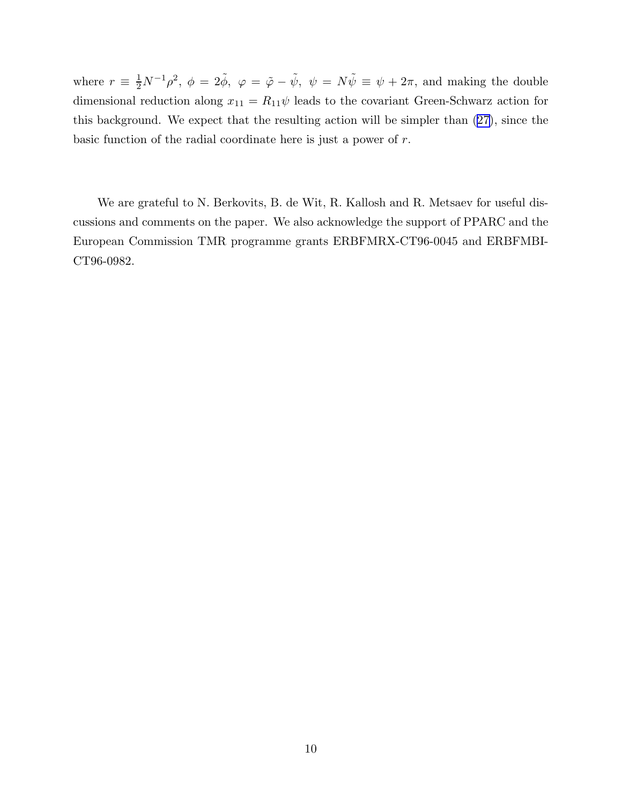where  $r \equiv \frac{1}{2}N^{-1}\rho^2$ ,  $\phi = 2\tilde{\phi}$ ,  $\varphi = \tilde{\varphi} - \tilde{\psi}$ ,  $\psi = N\tilde{\psi} \equiv \psi + 2\pi$ , and making the double dimensional reduction along  $x_{11} = R_{11}\psi$  leads to the covariant Green-Schwarz action for this background. We expect that the resulting action will be simpler than([27\)](#page-8-0), since the basic function of the radial coordinate here is just a power of r.

We are grateful to N. Berkovits, B. de Wit, R. Kallosh and R. Metsaev for useful discussions and comments on the paper. We also acknowledge the support of PPARC and the European Commission TMR programme grants ERBFMRX-CT96-0045 and ERBFMBI-CT96-0982.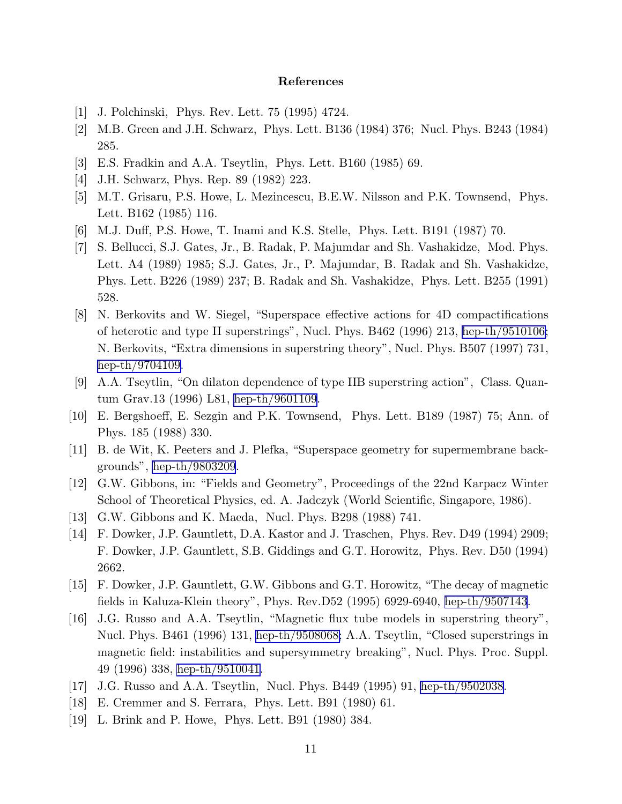## References

- <span id="page-11-0"></span>[1] J. Polchinski, Phys. Rev. Lett. 75 (1995) 4724.
- [2] M.B. Green and J.H. Schwarz, Phys. Lett. B136 (1984) 376; Nucl. Phys. B243 (1984) 285.
- [3] E.S. Fradkin and A.A. Tseytlin, Phys. Lett. B160 (1985) 69.
- [4] J.H. Schwarz, Phys. Rep. 89 (1982) 223.
- [5] M.T. Grisaru, P.S. Howe, L. Mezincescu, B.E.W. Nilsson and P.K. Townsend, Phys. Lett. B162 (1985) 116.
- [6] M.J. Duff, P.S. Howe, T. Inami and K.S. Stelle, Phys. Lett. B191 (1987) 70.
- [7] S. Bellucci, S.J. Gates, Jr., B. Radak, P. Majumdar and Sh. Vashakidze, Mod. Phys. Lett. A4 (1989) 1985; S.J. Gates, Jr., P. Majumdar, B. Radak and Sh. Vashakidze, Phys. Lett. B226 (1989) 237; B. Radak and Sh. Vashakidze, Phys. Lett. B255 (1991) 528.
- [8] N. Berkovits and W. Siegel, "Superspace effective actions for 4D compactifications of heterotic and type II superstrings", Nucl. Phys. B462 (1996) 213, [hep-th/9510106;](http://arxiv.org/abs/hep-th/9510106) N. Berkovits, "Extra dimensions in superstring theory", Nucl. Phys. B507 (1997) 731, [hep-th/9704109.](http://arxiv.org/abs/hep-th/9704109)
- [9] A.A. Tseytlin, "On dilaton dependence of type IIB superstring action", Class. Quantum Grav.13 (1996) L81, [hep-th/9601109](http://arxiv.org/abs/hep-th/9601109).
- [10] E. Bergshoeff, E. Sezgin and P.K. Townsend, Phys. Lett. B189 (1987) 75; Ann. of Phys. 185 (1988) 330.
- [11] B. de Wit, K. Peeters and J. Plefka, "Superspace geometry for supermembrane backgrounds", [hep-th/9803209](http://arxiv.org/abs/hep-th/9803209).
- [12] G.W. Gibbons, in: "Fields and Geometry", Proceedings of the 22nd Karpacz Winter School of Theoretical Physics, ed. A. Jadczyk (World Scientific, Singapore, 1986).
- [13] G.W. Gibbons and K. Maeda, Nucl. Phys. B298 (1988) 741.
- [14] F. Dowker, J.P. Gauntlett, D.A. Kastor and J. Traschen, Phys. Rev. D49 (1994) 2909; F. Dowker, J.P. Gauntlett, S.B. Giddings and G.T. Horowitz, Phys. Rev. D50 (1994) 2662.
- [15] F. Dowker, J.P. Gauntlett, G.W. Gibbons and G.T. Horowitz, "The decay of magnetic fields in Kaluza-Klein theory", Phys. Rev.D52 (1995) 6929-6940, [hep-th/9507143](http://arxiv.org/abs/hep-th/9507143).
- [16] J.G. Russo and A.A. Tseytlin, "Magnetic flux tube models in superstring theory", Nucl. Phys. B461 (1996) 131, [hep-th/9508068;](http://arxiv.org/abs/hep-th/9508068) A.A. Tseytlin, "Closed superstrings in magnetic field: instabilities and supersymmetry breaking", Nucl. Phys. Proc. Suppl. 49 (1996) 338, [hep-th/9510041.](http://arxiv.org/abs/hep-th/9510041)
- [17] J.G. Russo and A.A. Tseytlin, Nucl. Phys. B449 (1995) 91, [hep-th/9502038.](http://arxiv.org/abs/hep-th/9502038)
- [18] E. Cremmer and S. Ferrara, Phys. Lett. B91 (1980) 61.
- [19] L. Brink and P. Howe, Phys. Lett. B91 (1980) 384.